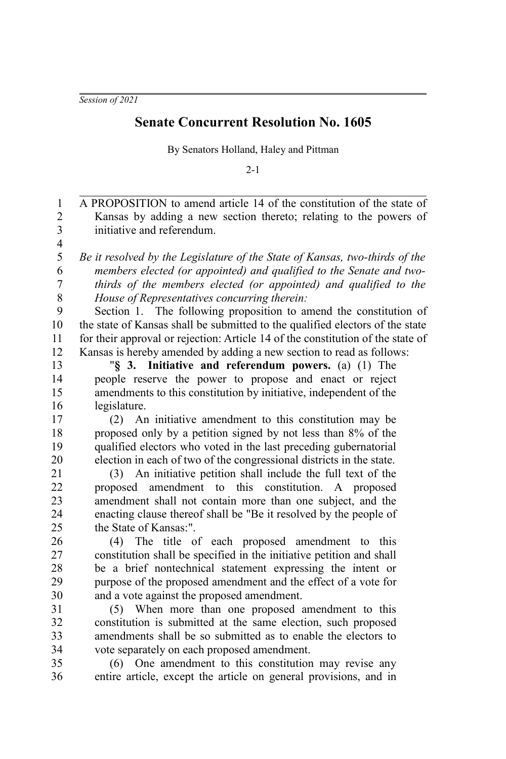*Session of 2021*

## **Senate Concurrent Resolution No. 1605**

By Senators Holland, Haley and Pittman

 $2 - 1$ 

A PROPOSITION to amend article 14 of the constitution of the state of Kansas by adding a new section thereto; relating to the powers of initiative and referendum. *Be it resolved by the Legislature of the State of Kansas, two-thirds of the members elected (or appointed) and qualified to the Senate and twothirds of the members elected (or appointed) and qualified to the House of Representatives concurring therein:* Section 1. The following proposition to amend the constitution of the state of Kansas shall be submitted to the qualified electors of the state for their approval or rejection: Article 14 of the constitution of the state of Kansas is hereby amended by adding a new section to read as follows: "**§ 3. Initiative and referendum powers.** (a) (1) The people reserve the power to propose and enact or reject amendments to this constitution by initiative, independent of the legislature. (2) An initiative amendment to this constitution may be proposed only by a petition signed by not less than 8% of the qualified electors who voted in the last preceding gubernatorial election in each of two of the congressional districts in the state. (3) An initiative petition shall include the full text of the proposed amendment to this constitution. A proposed amendment shall not contain more than one subject, and the enacting clause thereof shall be "Be it resolved by the people of the State of Kansas:". (4) The title of each proposed amendment to this constitution shall be specified in the initiative petition and shall be a brief nontechnical statement expressing the intent or purpose of the proposed amendment and the effect of a vote for and a vote against the proposed amendment. (5) When more than one proposed amendment to this constitution is submitted at the same election, such proposed amendments shall be so submitted as to enable the electors to vote separately on each proposed amendment. (6) One amendment to this constitution may revise any entire article, except the article on general provisions, and in 1 2 3 4 5 6 7 8 9 10 11 12 13 14 15 16 17 18 19 20 21 22 23 24 25 26 27 28 29 30 31 32 33 34 35 36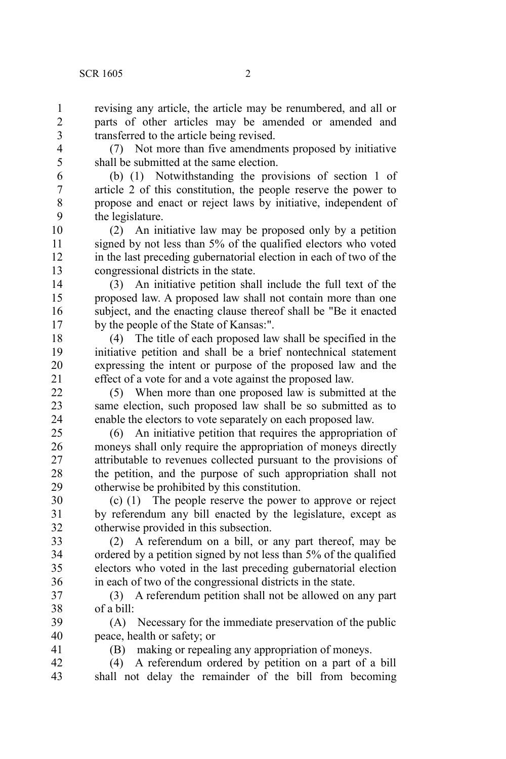revising any article, the article may be renumbered, and all or parts of other articles may be amended or amended and transferred to the article being revised.

7 8 9

41

1  $\overline{2}$ 

> (7) Not more than five amendments proposed by initiative shall be submitted at the same election.

(b) (1) Notwithstanding the provisions of section 1 of article 2 of this constitution, the people reserve the power to propose and enact or reject laws by initiative, independent of the legislature.

(2) An initiative law may be proposed only by a petition signed by not less than 5% of the qualified electors who voted in the last preceding gubernatorial election in each of two of the congressional districts in the state. 10 11 12 13

(3) An initiative petition shall include the full text of the proposed law. A proposed law shall not contain more than one subject, and the enacting clause thereof shall be "Be it enacted by the people of the State of Kansas:". 14 15 16 17

(4) The title of each proposed law shall be specified in the initiative petition and shall be a brief nontechnical statement expressing the intent or purpose of the proposed law and the effect of a vote for and a vote against the proposed law. 18 19 20 21

(5) When more than one proposed law is submitted at the same election, such proposed law shall be so submitted as to enable the electors to vote separately on each proposed law. 22 23 24

(6) An initiative petition that requires the appropriation of moneys shall only require the appropriation of moneys directly attributable to revenues collected pursuant to the provisions of the petition, and the purpose of such appropriation shall not otherwise be prohibited by this constitution. 25 26 27 28 29

(c) (1) The people reserve the power to approve or reject by referendum any bill enacted by the legislature, except as otherwise provided in this subsection. 30 31 32

(2) A referendum on a bill, or any part thereof, may be ordered by a petition signed by not less than 5% of the qualified electors who voted in the last preceding gubernatorial election in each of two of the congressional districts in the state. 33 34 35 36

(3) A referendum petition shall not be allowed on any part of a bill: 37 38

(A) Necessary for the immediate preservation of the public peace, health or safety; or 39 40

(B) making or repealing any appropriation of moneys.

(4) A referendum ordered by petition on a part of a bill shall not delay the remainder of the bill from becoming 42 43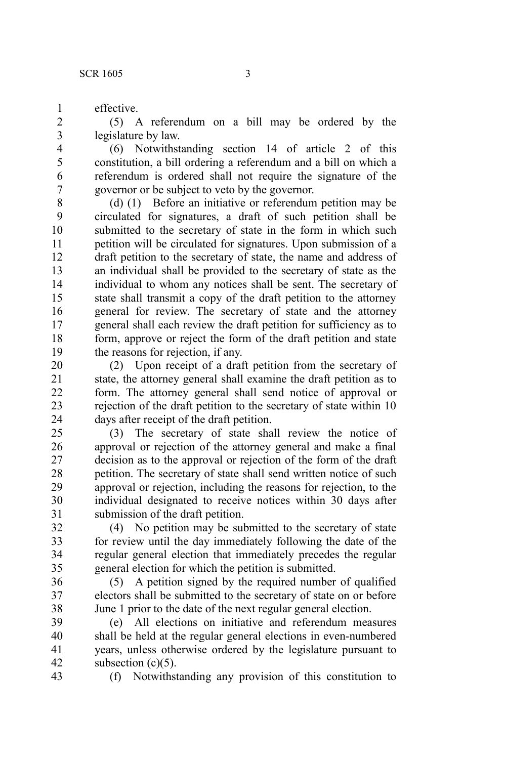effective.

(5) A referendum on a bill may be ordered by the legislature by law.

(6) Notwithstanding section 14 of article 2 of this constitution, a bill ordering a referendum and a bill on which a referendum is ordered shall not require the signature of the governor or be subject to veto by the governor.

(d) (1) Before an initiative or referendum petition may be circulated for signatures, a draft of such petition shall be submitted to the secretary of state in the form in which such petition will be circulated for signatures. Upon submission of a draft petition to the secretary of state, the name and address of an individual shall be provided to the secretary of state as the individual to whom any notices shall be sent. The secretary of state shall transmit a copy of the draft petition to the attorney general for review. The secretary of state and the attorney general shall each review the draft petition for sufficiency as to form, approve or reject the form of the draft petition and state the reasons for rejection, if any. 8 9 10 11 12 13 14 15 16 17 18 19

(2) Upon receipt of a draft petition from the secretary of state, the attorney general shall examine the draft petition as to form. The attorney general shall send notice of approval or rejection of the draft petition to the secretary of state within 10 days after receipt of the draft petition. 20 21 22 23 24

(3) The secretary of state shall review the notice of approval or rejection of the attorney general and make a final decision as to the approval or rejection of the form of the draft petition. The secretary of state shall send written notice of such approval or rejection, including the reasons for rejection, to the individual designated to receive notices within 30 days after submission of the draft petition. 25 26 27 28 29 30 31

(4) No petition may be submitted to the secretary of state for review until the day immediately following the date of the regular general election that immediately precedes the regular general election for which the petition is submitted. 32 33 34 35

(5) A petition signed by the required number of qualified electors shall be submitted to the secretary of state on or before June 1 prior to the date of the next regular general election. 36 37 38

(e) All elections on initiative and referendum measures shall be held at the regular general elections in even-numbered years, unless otherwise ordered by the legislature pursuant to subsection  $(c)(5)$ . 39 40 41 42

43

(f) Notwithstanding any provision of this constitution to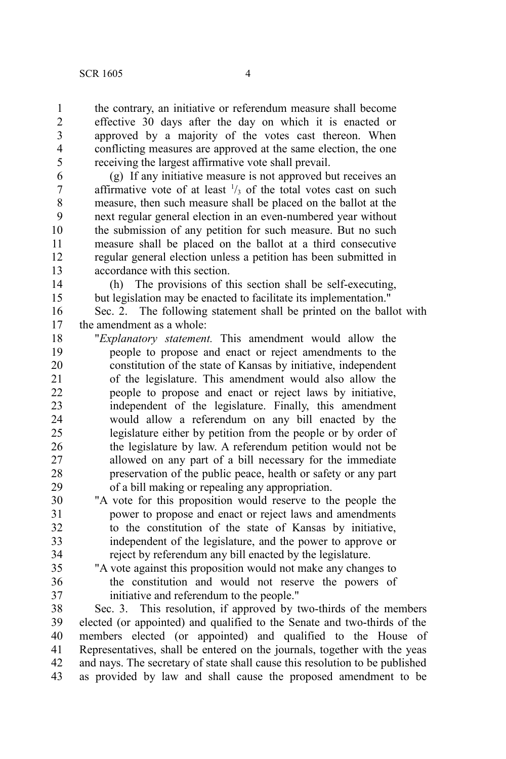the contrary, an initiative or referendum measure shall become effective 30 days after the day on which it is enacted or approved by a majority of the votes cast thereon. When conflicting measures are approved at the same election, the one receiving the largest affirmative vote shall prevail.

(g) If any initiative measure is not approved but receives an affirmative vote of at least  $\frac{1}{3}$  of the total votes cast on such measure, then such measure shall be placed on the ballot at the next regular general election in an even-numbered year without the submission of any petition for such measure. But no such measure shall be placed on the ballot at a third consecutive regular general election unless a petition has been submitted in accordance with this section. 6 7 8 9 10 11 12 13

(h) The provisions of this section shall be self-executing, but legislation may be enacted to facilitate its implementation." 14 15

Sec. 2. The following statement shall be printed on the ballot with the amendment as a whole: 16 17

"*Explanatory statement.* This amendment would allow the people to propose and enact or reject amendments to the constitution of the state of Kansas by initiative, independent of the legislature. This amendment would also allow the people to propose and enact or reject laws by initiative, independent of the legislature. Finally, this amendment would allow a referendum on any bill enacted by the legislature either by petition from the people or by order of the legislature by law. A referendum petition would not be allowed on any part of a bill necessary for the immediate preservation of the public peace, health or safety or any part of a bill making or repealing any appropriation. 18 19 20 21 22 23 24 25 26 27 28 29

- "A vote for this proposition would reserve to the people the power to propose and enact or reject laws and amendments to the constitution of the state of Kansas by initiative, independent of the legislature, and the power to approve or reject by referendum any bill enacted by the legislature. 30 31 32 33 34
- 35 36 37

"A vote against this proposition would not make any changes to the constitution and would not reserve the powers of initiative and referendum to the people."

Sec. 3. This resolution, if approved by two-thirds of the members elected (or appointed) and qualified to the Senate and two-thirds of the members elected (or appointed) and qualified to the House of Representatives, shall be entered on the journals, together with the yeas and nays. The secretary of state shall cause this resolution to be published as provided by law and shall cause the proposed amendment to be 38 39 40 41 42 43